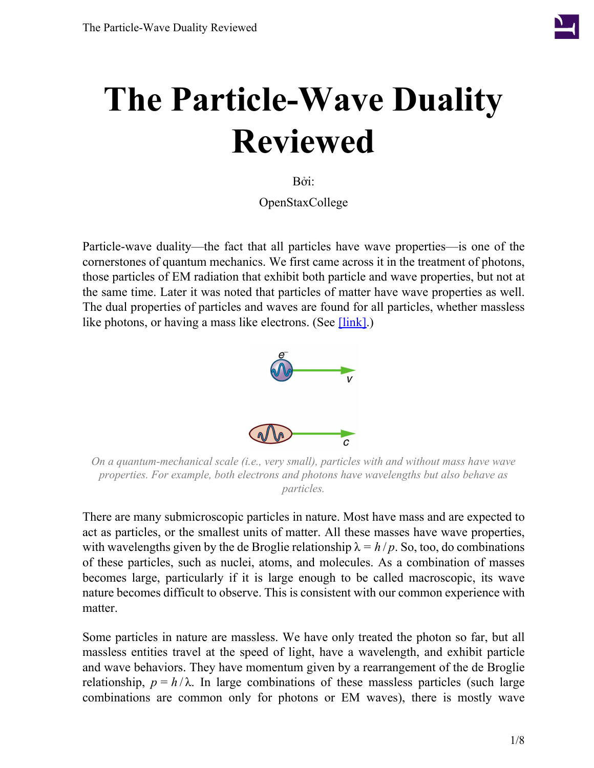

# **The Particle-Wave Duality Reviewed**

Bởi:

OpenStaxCollege

<span id="page-0-0"></span>Particle-wave duality—the fact that all particles have wave properties—is one of the cornerstones of quantum mechanics. We first came across it in the treatment of photons, those particles of EM radiation that exhibit both particle and wave properties, but not at the same time. Later it was noted that particles of matter have wave properties as well. The dual properties of particles and waves are found for all particles, whether massless like photons, or having a mass like electrons. (See  $[\text{link}]$ .)



*On a quantum-mechanical scale (i.e., very small), particles with and without mass have wave properties. For example, both electrons and photons have wavelengths but also behave as particles.*

There are many submicroscopic particles in nature. Most have mass and are expected to act as particles, or the smallest units of matter. All these masses have wave properties, with wavelengths given by the de Broglie relationship  $\lambda = h/p$ . So, too, do combinations of these particles, such as nuclei, atoms, and molecules. As a combination of masses becomes large, particularly if it is large enough to be called macroscopic, its wave nature becomes difficult to observe. This is consistent with our common experience with matter.

Some particles in nature are massless. We have only treated the photon so far, but all massless entities travel at the speed of light, have a wavelength, and exhibit particle and wave behaviors. They have momentum given by a rearrangement of the de Broglie relationship,  $p = h/\lambda$ . In large combinations of these massless particles (such large combinations are common only for photons or EM waves), there is mostly wave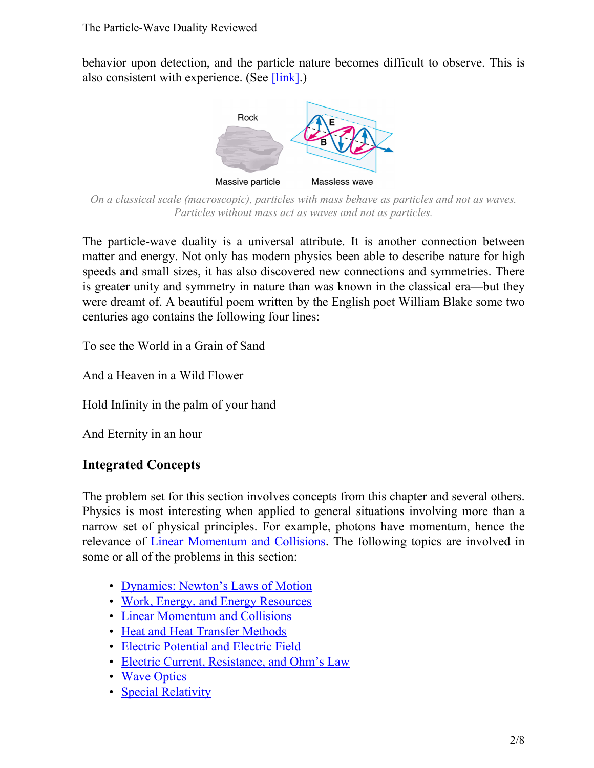<span id="page-1-0"></span>behavior upon detection, and the particle nature becomes difficult to observe. This is also consistent with experience. (See  $[\text{link}]$ .)



*On a classical scale (macroscopic), particles with mass behave as particles and not as waves. Particles without mass act as waves and not as particles.*

The particle-wave duality is a universal attribute. It is another connection between matter and energy. Not only has modern physics been able to describe nature for high speeds and small sizes, it has also discovered new connections and symmetries. There is greater unity and symmetry in nature than was known in the classical era—but they were dreamt of. A beautiful poem written by the English poet William Blake some two centuries ago contains the following four lines:

To see the World in a Grain of Sand

And a Heaven in a Wild Flower

Hold Infinity in the palm of your hand

And Eternity in an hour

#### **Integrated Concepts**

The problem set for this section involves concepts from this chapter and several others. Physics is most interesting when applied to general situations involving more than a narrow set of physical principles. For example, photons have momentum, hence the relevance of Linear [Momentum](/m42155) and Collisions. The following topics are involved in some or all of the problems in this section:

- [Dynamics: Newton's Laws of Motion](/m42129)
- [Work, Energy, and Energy Resources](/m42145)
- [Linear Momentum and Collisions](/m42155)
- [Heat and Heat Transfer Methods](/m42221)
- [Electric Potential and Electric Field](/m42320)
- [Electric Current, Resistance, and Ohm's Law](/m42339)
- [Wave Optics](/m42496)
- [Special Relativity](/m42525)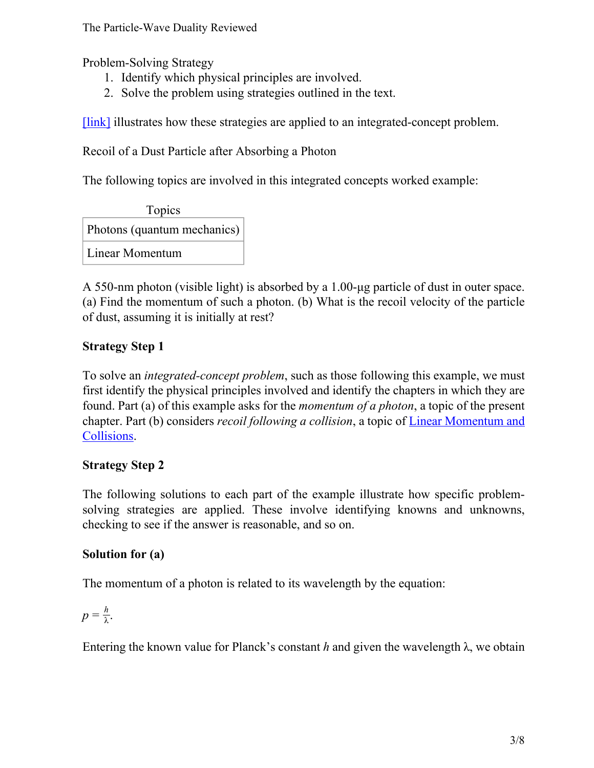The Particle-Wave Duality Reviewed

Problem-Solving Strategy

- 1. Identify which physical principles are involved.
- 2. Solve the problem using strategies outlined in the text.

[\[link\]](#page-2-0) illustrates how these strategies are applied to an integrated-concept problem.

<span id="page-2-0"></span>Recoil of a Dust Particle after Absorbing a Photon

The following topics are involved in this integrated concepts worked example:



A 550-nm photon (visible light) is absorbed by a 1.00-μg particle of dust in outer space. (a) Find the momentum of such a photon. (b) What is the recoil velocity of the particle of dust, assuming it is initially at rest?

# **Strategy Step 1**

To solve an *integrated-concept problem*, such as those following this example, we must first identify the physical principles involved and identify the chapters in which they are found. Part (a) of this example asks for the *momentum of a photon*, a topic of the present chapter. Part (b) considers *recoil following a collision*, a topic of Linear [Momentum](/m42155) and [Collisions.](/m42155)

#### **Strategy Step 2**

The following solutions to each part of the example illustrate how specific problemsolving strategies are applied. These involve identifying knowns and unknowns, checking to see if the answer is reasonable, and so on.

## **Solution for (a)**

The momentum of a photon is related to its wavelength by the equation:

$$
p=\frac{h}{\lambda}.
$$

Entering the known value for Planck's constant *h* and given the wavelength  $\lambda$ , we obtain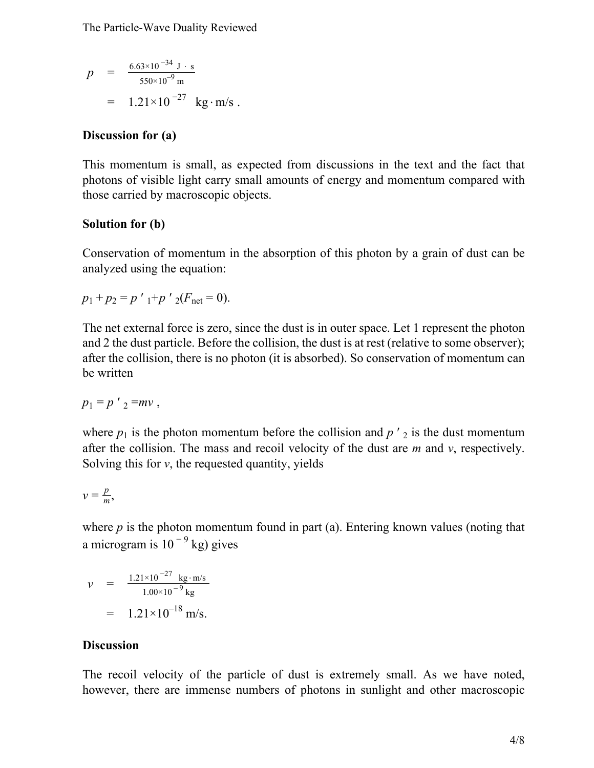The Particle-Wave Duality Reviewed

$$
p = \frac{6.63 \times 10^{-34} \text{ J} \cdot \text{s}}{550 \times 10^{-9} \text{ m}}
$$
  
= 1.21 \times 10^{-27} \text{ kg} \cdot \text{m/s}.

#### **Discussion for (a)**

This momentum is small, as expected from discussions in the text and the fact that photons of visible light carry small amounts of energy and momentum compared with those carried by macroscopic objects.

#### **Solution for (b)**

Conservation of momentum in the absorption of this photon by a grain of dust can be analyzed using the equation:

$$
p_1 + p_2 = p'_{1} + p'_{2}(F_{\text{net}} = 0).
$$

The net external force is zero, since the dust is in outer space. Let 1 represent the photon and 2 the dust particle. Before the collision, the dust is at rest (relative to some observer); after the collision, there is no photon (it is absorbed). So conservation of momentum can be written

$$
p_1 = p' \cdot 2 = mv,
$$

where  $p_1$  is the photon momentum before the collision and  $p'$  is the dust momentum after the collision. The mass and recoil velocity of the dust are *m* and *v*, respectively. Solving this for *v*, the requested quantity, yields

$$
v=\frac{p}{m},
$$

where  $p$  is the photon momentum found in part (a). Entering known values (noting that a microgram is  $10^{-9}$  kg) gives

$$
v = \frac{1.21 \times 10^{-27} \text{ kg} \cdot \text{m/s}}{1.00 \times 10^{-9} \text{ kg}}
$$
  
= 1.21 \times 10^{-18} \text{ m/s.

#### **Discussion**

The recoil velocity of the particle of dust is extremely small. As we have noted, however, there are immense numbers of photons in sunlight and other macroscopic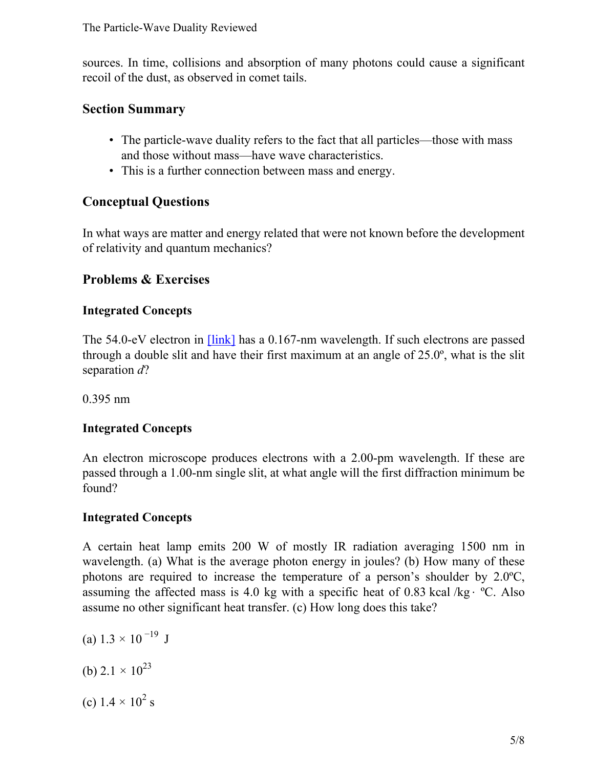sources. In time, collisions and absorption of many photons could cause a significant recoil of the dust, as observed in comet tails.

#### **Section Summary**

- The particle-wave duality refers to the fact that all particles—those with mass and those without mass—have wave characteristics.
- This is a further connection between mass and energy.

# **Conceptual Questions**

In what ways are matter and energy related that were not known before the development of relativity and quantum mechanics?

# **Problems & Exercises**

# **Integrated Concepts**

The 54.0-eV electron in **[\[link\]](/m42576#fs-id2621262)** has a 0.167-nm wavelength. If such electrons are passed through a double slit and have their first maximum at an angle of 25.0º, what is the slit separation *d*?

0.395 nm

# **Integrated Concepts**

An electron microscope produces electrons with a 2.00-pm wavelength. If these are passed through a 1.00-nm single slit, at what angle will the first diffraction minimum be found?

# **Integrated Concepts**

A certain heat lamp emits 200 W of mostly IR radiation averaging 1500 nm in wavelength. (a) What is the average photon energy in joules? (b) How many of these photons are required to increase the temperature of a person's shoulder by 2.0ºC, assuming the affected mass is 4.0 kg with a specific heat of 0.83 kcal /kg⋅ ºC. Also assume no other significant heat transfer. (c) How long does this take?

- (a)  $1.3 \times 10^{-19}$  J
- (b)  $2.1 \times 10^{23}$
- (c)  $1.4 \times 10^2$  s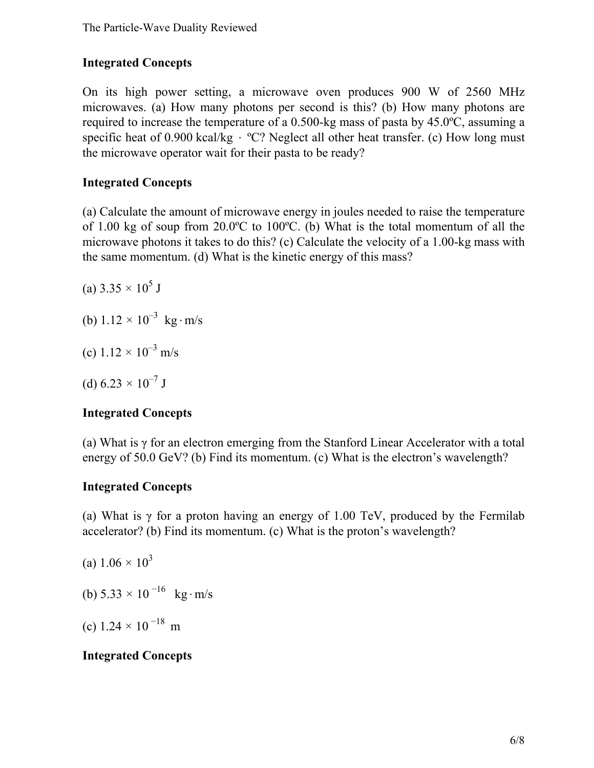#### **Integrated Concepts**

On its high power setting, a microwave oven produces 900 W of 2560 MHz microwaves. (a) How many photons per second is this? (b) How many photons are required to increase the temperature of a 0.500-kg mass of pasta by 45.0ºC, assuming a specific heat of 0.900 kcal/kg  $\cdot$  °C? Neglect all other heat transfer. (c) How long must the microwave operator wait for their pasta to be ready?

#### **Integrated Concepts**

(a) Calculate the amount of microwave energy in joules needed to raise the temperature of 1.00 kg of soup from 20.0ºC to 100ºC. (b) What is the total momentum of all the microwave photons it takes to do this? (c) Calculate the velocity of a 1.00-kg mass with the same momentum. (d) What is the kinetic energy of this mass?

(a)  $3.35 \times 10^5$  J

- (b)  $1.12 \times 10^{-3}$  kg⋅m/s
- (c)  $1.12 \times 10^{-3}$  m/s

(d)  $6.23 \times 10^{-7}$  J

## **Integrated Concepts**

(a) What is γ for an electron emerging from the Stanford Linear Accelerator with a total energy of 50.0 GeV? (b) Find its momentum. (c) What is the electron's wavelength?

#### **Integrated Concepts**

(a) What is  $\gamma$  for a proton having an energy of 1.00 TeV, produced by the Fermilab accelerator? (b) Find its momentum. (c) What is the proton's wavelength?

- (a)  $1.06 \times 10^3$
- (b)  $5.33 \times 10^{-16}$  kg⋅m/s
- (c)  $1.24 \times 10^{-18}$  m

#### **Integrated Concepts**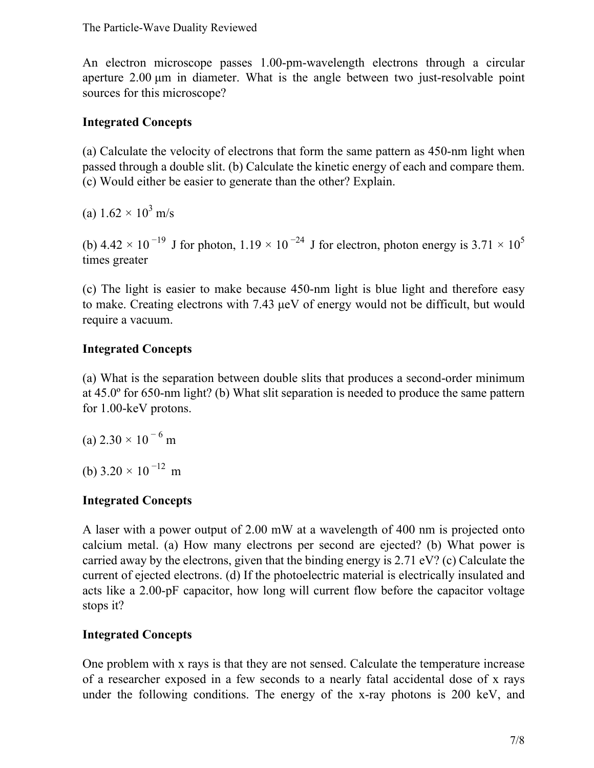An electron microscope passes 1.00-pm-wavelength electrons through a circular aperture 2.00 μm in diameter. What is the angle between two just-resolvable point sources for this microscope?

#### **Integrated Concepts**

(a) Calculate the velocity of electrons that form the same pattern as 450-nm light when passed through a double slit. (b) Calculate the kinetic energy of each and compare them. (c) Would either be easier to generate than the other? Explain.

(a)  $1.62 \times 10^3$  m/s

(b) 4.42  $\times$  10<sup>-19</sup> J for photon, 1.19  $\times$  10<sup>-24</sup> J for electron, photon energy is 3.71  $\times$  10<sup>5</sup> times greater

(c) The light is easier to make because 450-nm light is blue light and therefore easy to make. Creating electrons with 7.43 μeV of energy would not be difficult, but would require a vacuum.

#### **Integrated Concepts**

(a) What is the separation between double slits that produces a second-order minimum at 45.0º for 650-nm light? (b) What slit separation is needed to produce the same pattern for 1.00-keV protons.

(a)  $2.30 \times 10^{-6}$  m

(b)  $3.20 \times 10^{-12}$  m

## **Integrated Concepts**

A laser with a power output of 2.00 mW at a wavelength of 400 nm is projected onto calcium metal. (a) How many electrons per second are ejected? (b) What power is carried away by the electrons, given that the binding energy is 2.71 eV? (c) Calculate the current of ejected electrons. (d) If the photoelectric material is electrically insulated and acts like a 2.00-pF capacitor, how long will current flow before the capacitor voltage stops it?

#### **Integrated Concepts**

One problem with x rays is that they are not sensed. Calculate the temperature increase of a researcher exposed in a few seconds to a nearly fatal accidental dose of x rays under the following conditions. The energy of the x-ray photons is 200 keV, and